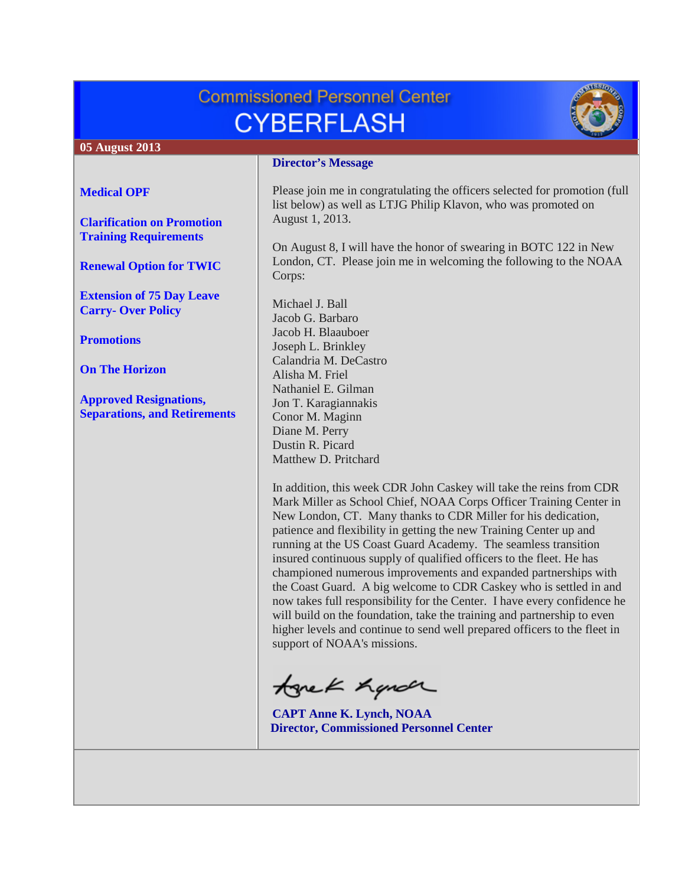# **Commissioned Personnel Center CYBERFLASH**



#### **05 August 2013**

#### **[Medical OPF](#page-1-0)**

**[Clarification on Promotion](#page-1-1)  [Training Requirements](#page-1-1)**

**[Renewal Option for TWIC](#page-2-0)**

**[Extension of 75 Day Leave](#page-2-1)  Carry- [Over Policy](#page-2-1)**

**[Promotions](#page-2-2)**

**[On The Horizon](#page-5-0)**

**[Approved Resignations,](#page-5-1)  [Separations, and Retirements](#page-5-1)**

#### **Director's Message**

Please join me in congratulating the officers selected for promotion (full list below) as well as LTJG Philip Klavon, who was promoted on August 1, 2013.

On August 8, I will have the honor of swearing in BOTC 122 in New London, CT. Please join me in welcoming the following to the NOAA Corps:

Michael J. Ball Jacob G. Barbaro Jacob H. Blaauboer Joseph L. Brinkley Calandria M. DeCastro Alisha M. Friel Nathaniel E. Gilman Jon T. Karagiannakis Conor M. Maginn Diane M. Perry Dustin R. Picard Matthew D. Pritchard

In addition, this week CDR John Caskey will take the reins from CDR Mark Miller as School Chief, NOAA Corps Officer Training Center in New London, CT. Many thanks to CDR Miller for his dedication, patience and flexibility in getting the new Training Center up and running at the US Coast Guard Academy. The seamless transition insured continuous supply of qualified officers to the fleet. He has championed numerous improvements and expanded partnerships with the Coast Guard. A big welcome to CDR Caskey who is settled in and now takes full responsibility for the Center. I have every confidence he will build on the foundation, take the training and partnership to even higher levels and continue to send well prepared officers to the fleet in support of NOAA's missions.

tonek handr

**CAPT Anne K. Lynch, NOAA Director, Commissioned Personnel Center**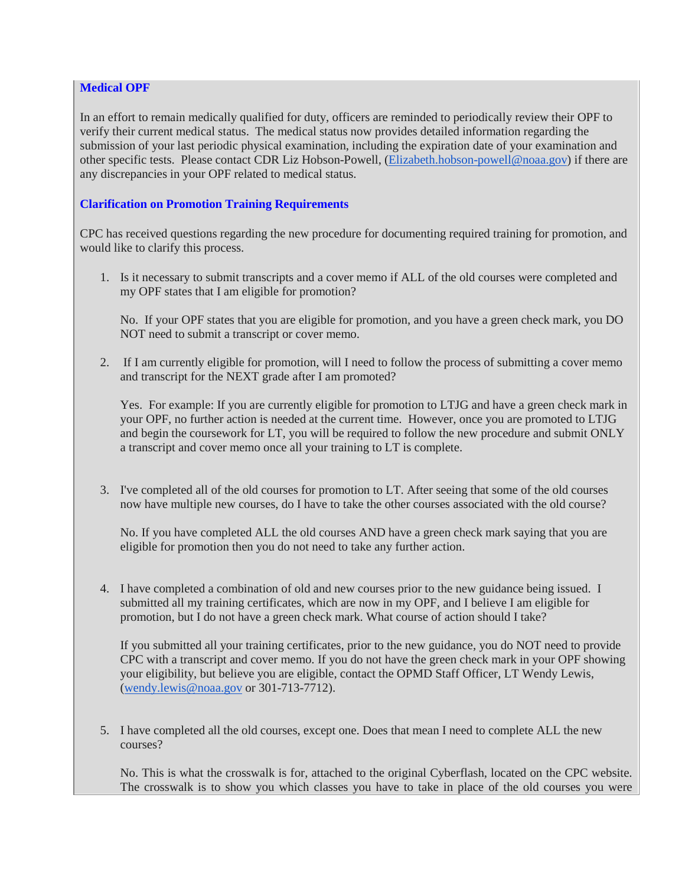## <span id="page-1-0"></span>**Medical OPF**

In an effort to remain medically qualified for duty, officers are reminded to periodically review their OPF to verify their current medical status. The medical status now provides detailed information regarding the submission of your last periodic physical examination, including the expiration date of your examination and other specific tests. Please contact CDR Liz Hobson-Powell, [\(Elizabeth.hobson-powell@noaa.gov\)](mailto:Elizabeth.hobson-powell@noaa.gov) if there are any discrepancies in your OPF related to medical status.

## <span id="page-1-1"></span>**Clarification on Promotion Training Requirements**

CPC has received questions regarding the new procedure for documenting required training for promotion, and would like to clarify this process.

1. Is it necessary to submit transcripts and a cover memo if ALL of the old courses were completed and my OPF states that I am eligible for promotion?

No. If your OPF states that you are eligible for promotion, and you have a green check mark, you DO NOT need to submit a transcript or cover memo.

2. If I am currently eligible for promotion, will I need to follow the process of submitting a cover memo and transcript for the NEXT grade after I am promoted?

Yes. For example: If you are currently eligible for promotion to LTJG and have a green check mark in your OPF, no further action is needed at the current time. However, once you are promoted to LTJG and begin the coursework for LT, you will be required to follow the new procedure and submit ONLY a transcript and cover memo once all your training to LT is complete.

3. I've completed all of the old courses for promotion to LT. After seeing that some of the old courses now have multiple new courses, do I have to take the other courses associated with the old course?

No. If you have completed ALL the old courses AND have a green check mark saying that you are eligible for promotion then you do not need to take any further action.

4. I have completed a combination of old and new courses prior to the new guidance being issued. I submitted all my training certificates, which are now in my OPF, and I believe I am eligible for promotion, but I do not have a green check mark. What course of action should I take?

If you submitted all your training certificates, prior to the new guidance, you do NOT need to provide CPC with a transcript and cover memo. If you do not have the green check mark in your OPF showing your eligibility, but believe you are eligible, contact the OPMD Staff Officer, LT Wendy Lewis, [\(wendy.lewis@noaa.gov](mailto:wendy.lewis@noaa.gov) or 301-713-7712).

5. I have completed all the old courses, except one. Does that mean I need to complete ALL the new courses?

No. This is what the crosswalk is for, attached to the original Cyberflash, located on the CPC website. The crosswalk is to show you which classes you have to take in place of the old courses you were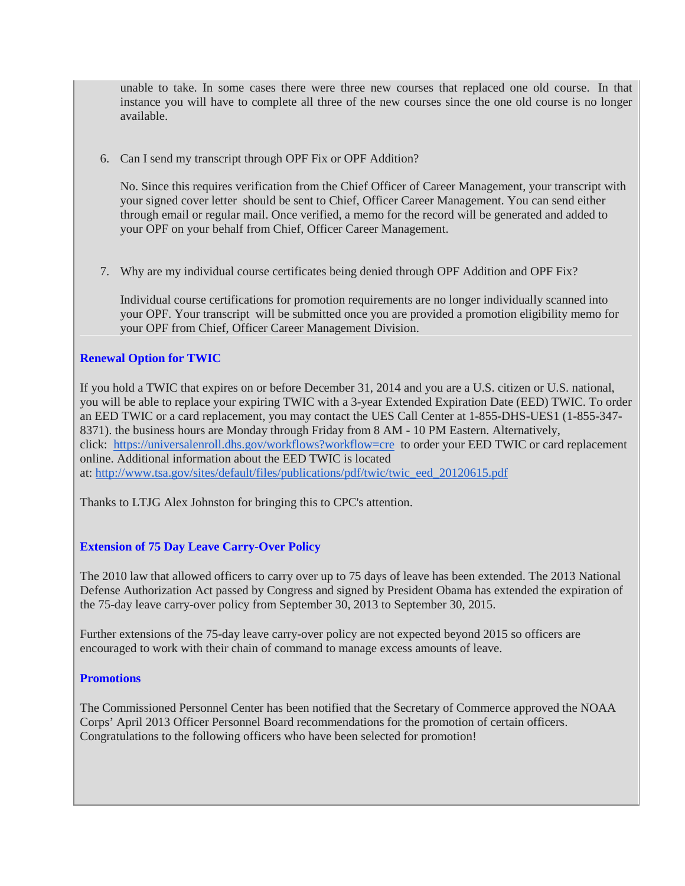unable to take. In some cases there were three new courses that replaced one old course. In that instance you will have to complete all three of the new courses since the one old course is no longer available.

6. Can I send my transcript through OPF Fix or OPF Addition?

No. Since this requires verification from the Chief Officer of Career Management, your transcript with your signed cover letter should be sent to Chief, Officer Career Management. You can send either through email or regular mail. Once verified, a memo for the record will be generated and added to your OPF on your behalf from Chief, Officer Career Management.

7. Why are my individual course certificates being denied through OPF Addition and OPF Fix?

Individual course certifications for promotion requirements are no longer individually scanned into your OPF. Your transcript will be submitted once you are provided a promotion eligibility memo for your OPF from Chief, Officer Career Management Division.

## <span id="page-2-0"></span>**Renewal Option for TWIC**

If you hold a TWIC that expires on or before December 31, 2014 and you are a U.S. citizen or U.S. national, you will be able to replace your expiring TWIC with a 3-year Extended Expiration Date (EED) TWIC. To order an EED TWIC or a card replacement, you may contact the UES Call Center at 1-855-DHS-UES1 (1-855-347- 8371). the business hours are Monday through Friday from 8 AM - 10 PM Eastern. Alternatively, click: <https://universalenroll.dhs.gov/workflows?workflow=cre>to order your EED TWIC or card replacement online. Additional information about the EED TWIC is located at: [http://www.tsa.gov/sites/default/files/publications/pdf/twic/twic\\_eed\\_20120615.pdf](http://www.tsa.gov/sites/default/files/publications/pdf/twic/twic_eed_20120615.pdf)

Thanks to LTJG Alex Johnston for bringing this to CPC's attention.

# <span id="page-2-1"></span>**Extension of 75 Day Leave Carry-Over Policy**

The 2010 law that allowed officers to carry over up to 75 days of leave has been extended. The 2013 National Defense Authorization Act passed by Congress and signed by President Obama has extended the expiration of the 75-day leave carry-over policy from September 30, 2013 to September 30, 2015.

Further extensions of the 75-day leave carry-over policy are not expected beyond 2015 so officers are encouraged to work with their chain of command to manage excess amounts of leave.

#### <span id="page-2-2"></span>**Promotions**

The Commissioned Personnel Center has been notified that the Secretary of Commerce approved the NOAA Corps' April 2013 Officer Personnel Board recommendations for the promotion of certain officers. Congratulations to the following officers who have been selected for promotion!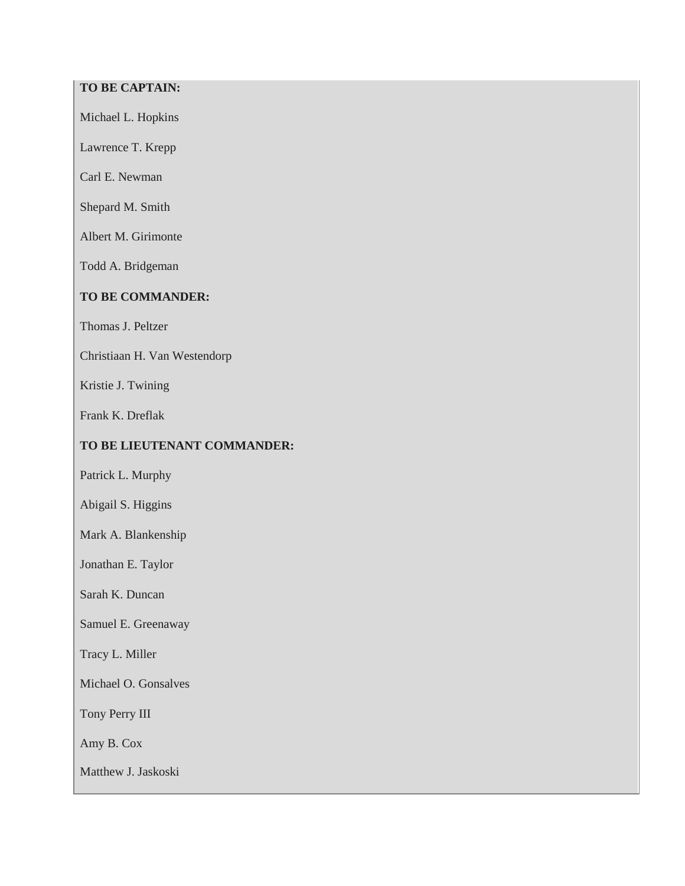# **TO BE CAPTAIN:**

Michael L. Hopkins

Lawrence T. Krepp

Carl E. Newman

Shepard M. Smith

Albert M. Girimonte

Todd A. Bridgeman

# **TO BE COMMANDER:**

Thomas J. Peltzer

Christiaan H. Van Westendorp

Kristie J. Twining

Frank K. Dreflak

# **TO BE LIEUTENANT COMMANDER:**

Patrick L. Murphy

Abigail S. Higgins

Mark A. Blankenship

Jonathan E. Taylor

Sarah K. Duncan

Samuel E. Greenaway

Tracy L. Miller

Michael O. Gonsalves

Tony Perry III

Amy B. Cox

Matthew J. Jaskoski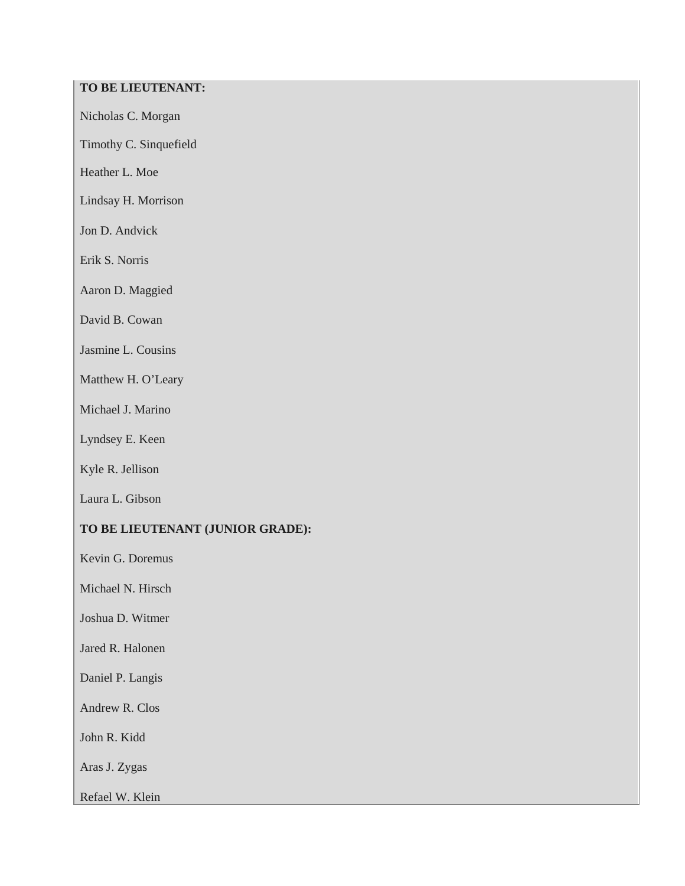# **TO BE LIEUTENANT:**

Nicholas C. Morgan

Timothy C. Sinquefield

Heather L. Moe

Lindsay H. Morrison

Jon D. Andvick

Erik S. Norris

Aaron D. Maggied

David B. Cowan

Jasmine L. Cousins

Matthew H. O'Leary

Michael J. Marino

Lyndsey E. Keen

Kyle R. Jellison

Laura L. Gibson

# **TO BE LIEUTENANT (JUNIOR GRADE):**

Kevin G. Doremus

Michael N. Hirsch

Joshua D. Witmer

Jared R. Halonen

Daniel P. Langis

Andrew R. Clos

John R. Kidd

Aras J. Zygas

Refael W. Klein